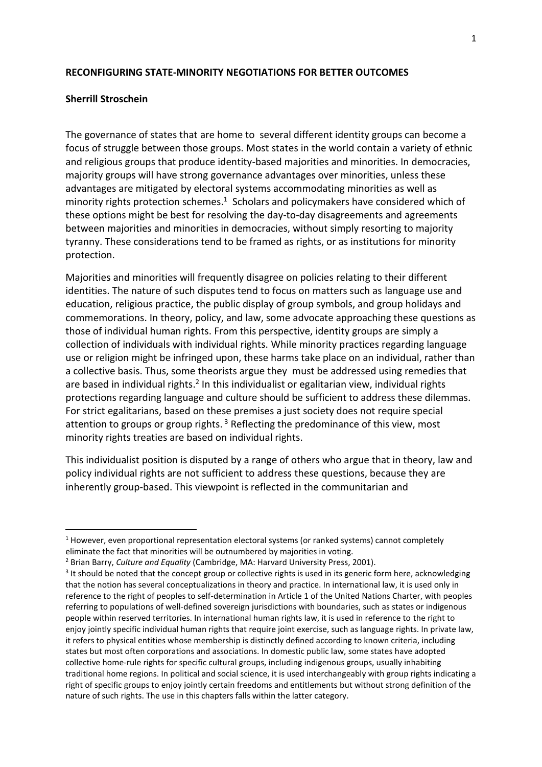### **RECONFIGURING STATE-MINORITY NEGOTIATIONS FOR BETTER OUTCOMES**

## **Sherrill Stroschein**

**.** 

The governance of states that are home to several different identity groups can become a focus of struggle between those groups. Most states in the world contain a variety of ethnic and religious groups that produce identity-based majorities and minorities. In democracies, majority groups will have strong governance advantages over minorities, unless these advantages are mitigated by electoral systems accommodating minorities as well as minority rights protection schemes.<sup>1</sup> Scholars and policymakers have considered which of these options might be best for resolving the day-to-day disagreements and agreements between majorities and minorities in democracies, without simply resorting to majority tyranny. These considerations tend to be framed as rights, or as institutions for minority protection.

Majorities and minorities will frequently disagree on policies relating to their different identities. The nature of such disputes tend to focus on matters such as language use and education, religious practice, the public display of group symbols, and group holidays and commemorations. In theory, policy, and law, some advocate approaching these questions as those of individual human rights. From this perspective, identity groups are simply a collection of individuals with individual rights. While minority practices regarding language use or religion might be infringed upon, these harms take place on an individual, rather than a collective basis. Thus, some theorists argue they must be addressed using remedies that are based in individual rights.<sup>2</sup> In this individualist or egalitarian view, individual rights protections regarding language and culture should be sufficient to address these dilemmas. For strict egalitarians, based on these premises a just society does not require special attention to groups or group rights.<sup>3</sup> Reflecting the predominance of this view, most minority rights treaties are based on individual rights.

This individualist position is disputed by a range of others who argue that in theory, law and policy individual rights are not sufficient to address these questions, because they are inherently group-based. This viewpoint is reflected in the communitarian and

 $<sup>1</sup>$  However, even proportional representation electoral systems (or ranked systems) cannot completely</sup> eliminate the fact that minorities will be outnumbered by majorities in voting.

<sup>2</sup> Brian Barry, *Culture and Equality* (Cambridge, MA: Harvard University Press, 2001).

 $3$  It should be noted that the concept group or collective rights is used in its generic form here, acknowledging that the notion has several conceptualizations in theory and practice. In international law, it is used only in reference to the right of peoples to self-determination in Article 1 of the United Nations Charter, with peoples referring to populations of well-defined sovereign jurisdictions with boundaries, such as states or indigenous people within reserved territories. In international human rights law, it is used in reference to the right to enjoy jointly specific individual human rights that require joint exercise, such as language rights. In private law, it refers to physical entities whose membership is distinctly defined according to known criteria, including states but most often corporations and associations. In domestic public law, some states have adopted collective home-rule rights for specific cultural groups, including indigenous groups, usually inhabiting traditional home regions. In political and social science, it is used interchangeably with group rights indicating a right of specific groups to enjoy jointly certain freedoms and entitlements but without strong definition of the nature of such rights. The use in this chapters falls within the latter category.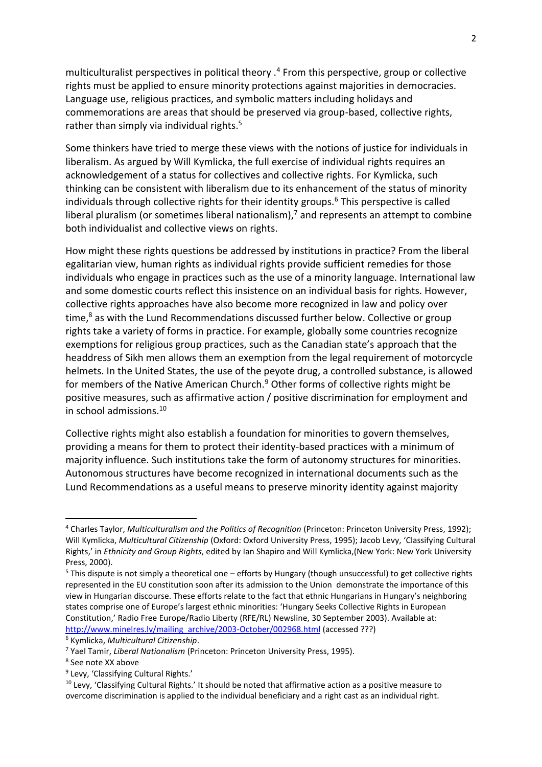multiculturalist perspectives in political theory .<sup>4</sup> From this perspective, group or collective rights must be applied to ensure minority protections against majorities in democracies. Language use, religious practices, and symbolic matters including holidays and commemorations are areas that should be preserved via group-based, collective rights, rather than simply via individual rights.<sup>5</sup>

Some thinkers have tried to merge these views with the notions of justice for individuals in liberalism. As argued by Will Kymlicka, the full exercise of individual rights requires an acknowledgement of a status for collectives and collective rights. For Kymlicka, such thinking can be consistent with liberalism due to its enhancement of the status of minority individuals through collective rights for their identity groups.<sup>6</sup> This perspective is called liberal pluralism (or sometimes liberal nationalism), $<sup>7</sup>$  and represents an attempt to combine</sup> both individualist and collective views on rights.

How might these rights questions be addressed by institutions in practice? From the liberal egalitarian view, human rights as individual rights provide sufficient remedies for those individuals who engage in practices such as the use of a minority language. International law and some domestic courts reflect this insistence on an individual basis for rights. However, collective rights approaches have also become more recognized in law and policy over time, <sup>8</sup> as with the Lund Recommendations discussed further below. Collective or group rights take a variety of forms in practice. For example, globally some countries recognize exemptions for religious group practices, such as the Canadian state's approach that the headdress of Sikh men allows them an exemption from the legal requirement of motorcycle helmets. In the United States, the use of the peyote drug, a controlled substance, is allowed for members of the Native American Church.<sup>9</sup> Other forms of collective rights might be positive measures, such as affirmative action / positive discrimination for employment and in school admissions. 10

Collective rights might also establish a foundation for minorities to govern themselves, providing a means for them to protect their identity-based practices with a minimum of majority influence. Such institutions take the form of autonomy structures for minorities. Autonomous structures have become recognized in international documents such as the Lund Recommendations as a useful means to preserve minority identity against majority

1

<sup>9</sup> Levy, 'Classifying Cultural Rights.'

<sup>4</sup> Charles Taylor, *Multiculturalism and the Politics of Recognition* (Princeton: Princeton University Press, 1992); Will Kymlicka, *Multicultural Citizenship* (Oxford: Oxford University Press, 1995); Jacob Levy, 'Classifying Cultural Rights,' in *Ethnicity and Group Rights*, edited by Ian Shapiro and Will Kymlicka,(New York: New York University Press, 2000).

 $5$  This dispute is not simply a theoretical one – efforts by Hungary (though unsuccessful) to get collective rights represented in the EU constitution soon after its admission to the Union demonstrate the importance of this view in Hungarian discourse. These efforts relate to the fact that ethnic Hungarians in Hungary's neighboring states comprise one of Europe's largest ethnic minorities: 'Hungary Seeks Collective Rights in European Constitution,' Radio Free Europe/Radio Liberty (RFE/RL) Newsline, 30 September 2003). Available at: [http://www.minelres.lv/mailing\\_archive/2003-October/002968.html](http://www.minelres.lv/mailing_archive/2003-October/002968.html) (accessed ???)

<sup>6</sup> Kymlicka, *Multicultural Citizenship*.

<sup>7</sup> Yael Tamir, *Liberal Nationalism* (Princeton: Princeton University Press, 1995).

<sup>8</sup> See note XX above

<sup>&</sup>lt;sup>10</sup> Levy, 'Classifying Cultural Rights.' It should be noted that affirmative action as a positive measure to overcome discrimination is applied to the individual beneficiary and a right cast as an individual right.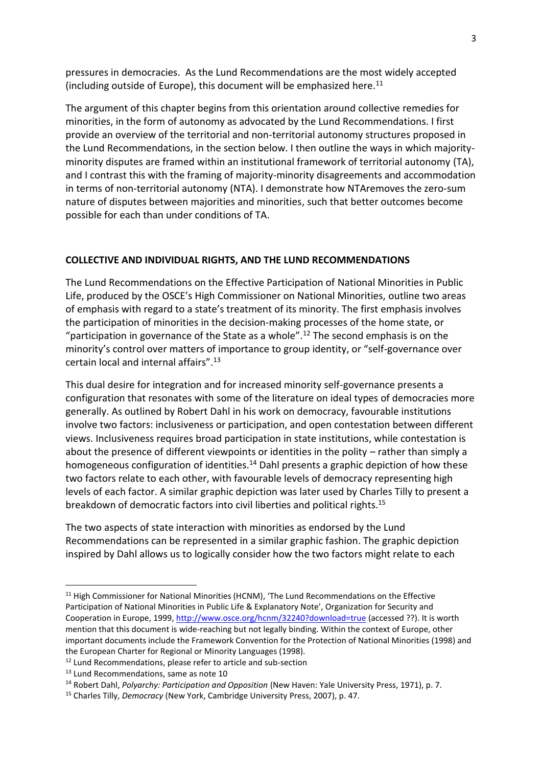pressures in democracies. As the Lund Recommendations are the most widely accepted (including outside of Europe), this document will be emphasized here. $11$ 

The argument of this chapter begins from this orientation around collective remedies for minorities, in the form of autonomy as advocated by the Lund Recommendations. I first provide an overview of the territorial and non-territorial autonomy structures proposed in the Lund Recommendations, in the section below. I then outline the ways in which majorityminority disputes are framed within an institutional framework of territorial autonomy (TA), and I contrast this with the framing of majority-minority disagreements and accommodation in terms of non-territorial autonomy (NTA). I demonstrate how NTAremoves the zero-sum nature of disputes between majorities and minorities, such that better outcomes become possible for each than under conditions of TA.

## **COLLECTIVE AND INDIVIDUAL RIGHTS, AND THE LUND RECOMMENDATIONS**

The Lund Recommendations on the Effective Participation of National Minorities in Public Life, produced by the OSCE's High Commissioner on National Minorities, outline two areas of emphasis with regard to a state's treatment of its minority. The first emphasis involves the participation of minorities in the decision-making processes of the home state, or "participation in governance of the State as a whole".<sup>12</sup> The second emphasis is on the minority's control over matters of importance to group identity, or "self-governance over certain local and internal affairs".<sup>13</sup>

This dual desire for integration and for increased minority self-governance presents a configuration that resonates with some of the literature on ideal types of democracies more generally. As outlined by Robert Dahl in his work on democracy, favourable institutions involve two factors: inclusiveness or participation, and open contestation between different views. Inclusiveness requires broad participation in state institutions, while contestation is about the presence of different viewpoints or identities in the polity – rather than simply a homogeneous configuration of identities.<sup>14</sup> Dahl presents a graphic depiction of how these two factors relate to each other, with favourable levels of democracy representing high levels of each factor. A similar graphic depiction was later used by Charles Tilly to present a breakdown of democratic factors into civil liberties and political rights.<sup>15</sup>

The two aspects of state interaction with minorities as endorsed by the Lund Recommendations can be represented in a similar graphic fashion. The graphic depiction inspired by Dahl allows us to logically consider how the two factors might relate to each

<sup>&</sup>lt;sup>11</sup> High Commissioner for National Minorities (HCNM), 'The Lund Recommendations on the Effective Participation of National Minorities in Public Life & Explanatory Note', Organization for Security and Cooperation in Europe, 1999[, http://www.osce.org/hcnm/32240?download=true](http://www.osce.org/hcnm/32240?download=true) (accessed ??). It is worth mention that this document is wide-reaching but not legally binding. Within the context of Europe, other important documents include the Framework Convention for the Protection of National Minorities (1998) and the European Charter for Regional or Minority Languages (1998).

<sup>&</sup>lt;sup>12</sup> Lund Recommendations, please refer to article and sub-section

<sup>13</sup> Lund Recommendations, same as note 10

<sup>14</sup> Robert Dahl, *Polyarchy: Participation and Opposition* (New Haven: Yale University Press, 1971), p. 7.

<sup>15</sup> Charles Tilly, *Democracy* (New York, Cambridge University Press, 2007), p. 47.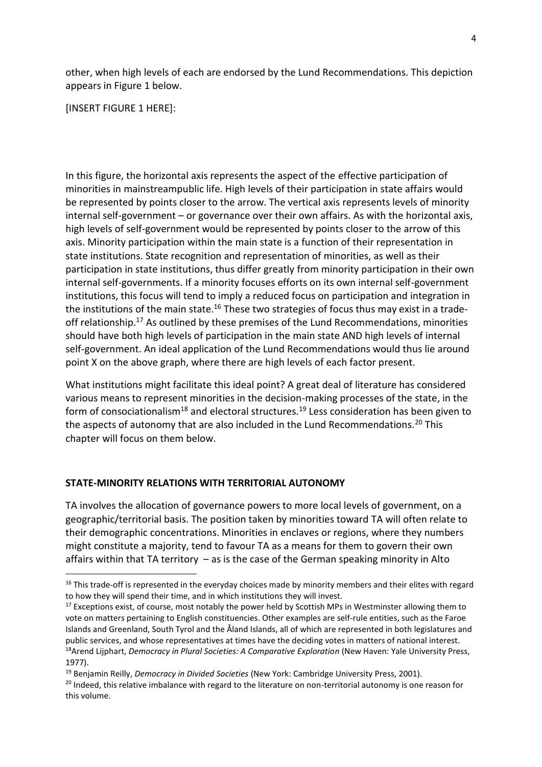other, when high levels of each are endorsed by the Lund Recommendations. This depiction appears in Figure 1 below.

[INSERT FIGURE 1 HERE]:

**.** 

In this figure, the horizontal axis represents the aspect of the effective participation of minorities in mainstreampublic life. High levels of their participation in state affairs would be represented by points closer to the arrow. The vertical axis represents levels of minority internal self-government – or governance over their own affairs. As with the horizontal axis, high levels of self-government would be represented by points closer to the arrow of this axis. Minority participation within the main state is a function of their representation in state institutions. State recognition and representation of minorities, as well as their participation in state institutions, thus differ greatly from minority participation in their own internal self-governments. If a minority focuses efforts on its own internal self-government institutions, this focus will tend to imply a reduced focus on participation and integration in the institutions of the main state.<sup>16</sup> These two strategies of focus thus may exist in a tradeoff relationship.<sup>17</sup> As outlined by these premises of the Lund Recommendations, minorities should have both high levels of participation in the main state AND high levels of internal self-government. An ideal application of the Lund Recommendations would thus lie around point X on the above graph, where there are high levels of each factor present.

What institutions might facilitate this ideal point? A great deal of literature has considered various means to represent minorities in the decision-making processes of the state, in the form of consociationalism<sup>18</sup> and electoral structures.<sup>19</sup> Less consideration has been given to the aspects of autonomy that are also included in the Lund Recommendations.<sup>20</sup> This chapter will focus on them below.

#### **STATE-MINORITY RELATIONS WITH TERRITORIAL AUTONOMY**

TA involves the allocation of governance powers to more local levels of government, on a geographic/territorial basis. The position taken by minorities toward TA will often relate to their demographic concentrations. Minorities in enclaves or regions, where they numbers might constitute a majority, tend to favour TA as a means for them to govern their own affairs within that TA territory – as is the case of the German speaking minority in Alto

<sup>&</sup>lt;sup>16</sup> This trade-off is represented in the everyday choices made by minority members and their elites with regard to how they will spend their time, and in which institutions they will invest.

<sup>&</sup>lt;sup>17</sup> Exceptions exist, of course, most notably the power held by Scottish MPs in Westminster allowing them to vote on matters pertaining to English constituencies. Other examples are self-rule entities, such as the Faroe Islands and Greenland, South Tyrol and the Åland Islands, all of which are represented in both legislatures and public services, and whose representatives at times have the deciding votes in matters of national interest. <sup>18</sup>Arend Lijphart, *Democracy in Plural Societies: A Comparative Exploration* (New Haven: Yale University Press, 1977).

<sup>19</sup> Benjamin Reilly, *Democracy in Divided Societies* (New York: Cambridge University Press, 2001).

<sup>&</sup>lt;sup>20</sup> Indeed, this relative imbalance with regard to the literature on non-territorial autonomy is one reason for this volume.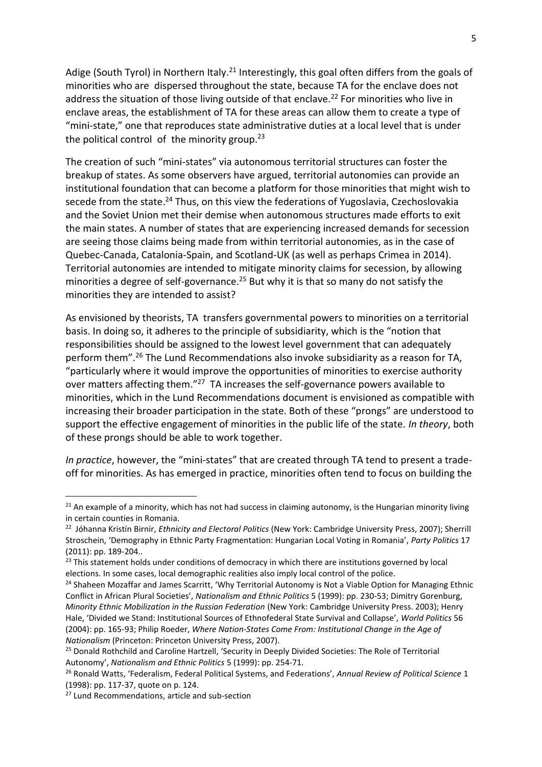Adige (South Tyrol) in Northern Italy.<sup>21</sup> Interestingly, this goal often differs from the goals of minorities who are dispersed throughout the state, because TA for the enclave does not address the situation of those living outside of that enclave.<sup>22</sup> For minorities who live in enclave areas, the establishment of TA for these areas can allow them to create a type of "mini-state," one that reproduces state administrative duties at a local level that is under the political control of the minority group.<sup>23</sup>

The creation of such "mini-states" via autonomous territorial structures can foster the breakup of states. As some observers have argued, territorial autonomies can provide an institutional foundation that can become a platform for those minorities that might wish to secede from the state.<sup>24</sup> Thus, on this view the federations of Yugoslavia, Czechoslovakia and the Soviet Union met their demise when autonomous structures made efforts to exit the main states. A number of states that are experiencing increased demands for secession are seeing those claims being made from within territorial autonomies, as in the case of Quebec-Canada, Catalonia-Spain, and Scotland-UK (as well as perhaps Crimea in 2014). Territorial autonomies are intended to mitigate minority claims for secession, by allowing minorities a degree of self-governance.<sup>25</sup> But why it is that so many do not satisfy the minorities they are intended to assist?

As envisioned by theorists, TA transfers governmental powers to minorities on a territorial basis. In doing so, it adheres to the principle of subsidiarity, which is the "notion that responsibilities should be assigned to the lowest level government that can adequately perform them".<sup>26</sup> The Lund Recommendations also invoke subsidiarity as a reason for TA, "particularly where it would improve the opportunities of minorities to exercise authority over matters affecting them."<sup>27</sup> TA increases the self-governance powers available to minorities, which in the Lund Recommendations document is envisioned as compatible with increasing their broader participation in the state. Both of these "prongs" are understood to support the effective engagement of minorities in the public life of the state. *In theory*, both of these prongs should be able to work together.

*In practice*, however, the "mini-states" that are created through TA tend to present a tradeoff for minorities. As has emerged in practice, minorities often tend to focus on building the

1

<sup>&</sup>lt;sup>21</sup> An example of a minority, which has not had success in claiming autonomy, is the Hungarian minority living in certain counties in Romania.

<sup>22</sup> Jóhanna Kristín Birnir, *Ethnicity and Electoral Politics* (New York: Cambridge University Press, 2007); Sherrill Stroschein, 'Demography in Ethnic Party Fragmentation: Hungarian Local Voting in Romania', *Party Politics* 17 (2011): pp. 189-204..

<sup>&</sup>lt;sup>23</sup> This statement holds under conditions of democracy in which there are institutions governed by local elections. In some cases, local demographic realities also imply local control of the police.

<sup>&</sup>lt;sup>24</sup> Shaheen Mozaffar and James Scarritt, 'Why Territorial Autonomy is Not a Viable Option for Managing Ethnic Conflict in African Plural Societies', *Nationalism and Ethnic Politics* 5 (1999): pp. 230-53; Dimitry Gorenburg, *Minority Ethnic Mobilization in the Russian Federation* (New York: Cambridge University Press. 2003); Henry Hale, 'Divided we Stand: Institutional Sources of Ethnofederal State Survival and Collapse', *World Politics* 56 (2004): pp. 165-93; Philip Roeder, *Where Nation-States Come From: Institutional Change in the Age of Nationalism* (Princeton: Princeton University Press, 2007).

<sup>&</sup>lt;sup>25</sup> Donald Rothchild and Caroline Hartzell, 'Security in Deeply Divided Societies: The Role of Territorial Autonomy', *Nationalism and Ethnic Politics* 5 (1999): pp. 254-71.

<sup>26</sup> Ronald Watts, 'Federalism, Federal Political Systems, and Federations', *Annual Review of Political Science* 1 (1998): pp. 117-37, quote on p. 124.

<sup>&</sup>lt;sup>27</sup> Lund Recommendations, article and sub-section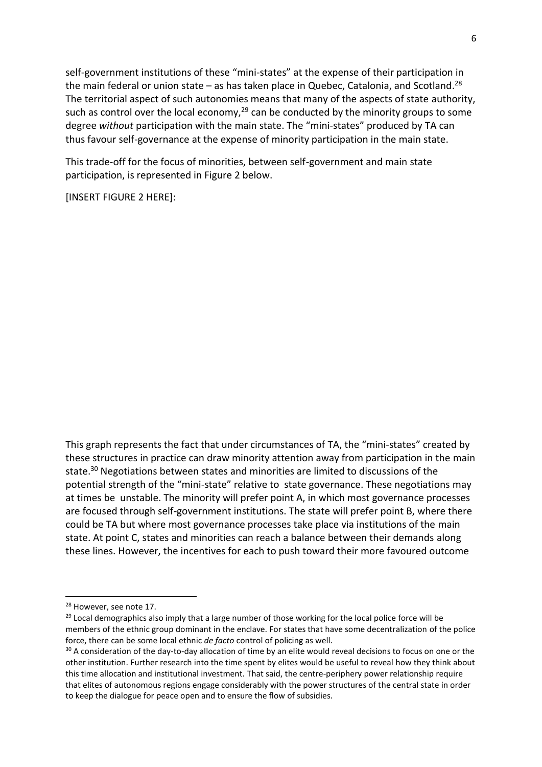self-government institutions of these "mini-states" at the expense of their participation in the main federal or union state – as has taken place in Quebec, Catalonia, and Scotland.<sup>28</sup> The territorial aspect of such autonomies means that many of the aspects of state authority, such as control over the local economy,<sup>29</sup> can be conducted by the minority groups to some degree *without* participation with the main state. The "mini-states" produced by TA can thus favour self-governance at the expense of minority participation in the main state.

This trade-off for the focus of minorities, between self-government and main state participation, is represented in Figure 2 below.

[INSERT FIGURE 2 HERE]:

This graph represents the fact that under circumstances of TA, the "mini-states" created by these structures in practice can draw minority attention away from participation in the main state.<sup>30</sup> Negotiations between states and minorities are limited to discussions of the potential strength of the "mini-state" relative to state governance. These negotiations may at times be unstable. The minority will prefer point A, in which most governance processes are focused through self-government institutions. The state will prefer point B, where there could be TA but where most governance processes take place via institutions of the main state. At point C, states and minorities can reach a balance between their demands along these lines. However, the incentives for each to push toward their more favoured outcome

<sup>&</sup>lt;sup>28</sup> However, see note 17.

<sup>&</sup>lt;sup>29</sup> Local demographics also imply that a large number of those working for the local police force will be members of the ethnic group dominant in the enclave. For states that have some decentralization of the police force, there can be some local ethnic *de facto* control of policing as well.

<sup>&</sup>lt;sup>30</sup> A consideration of the day-to-day allocation of time by an elite would reveal decisions to focus on one or the other institution. Further research into the time spent by elites would be useful to reveal how they think about this time allocation and institutional investment. That said, the centre-periphery power relationship require that elites of autonomous regions engage considerably with the power structures of the central state in order to keep the dialogue for peace open and to ensure the flow of subsidies.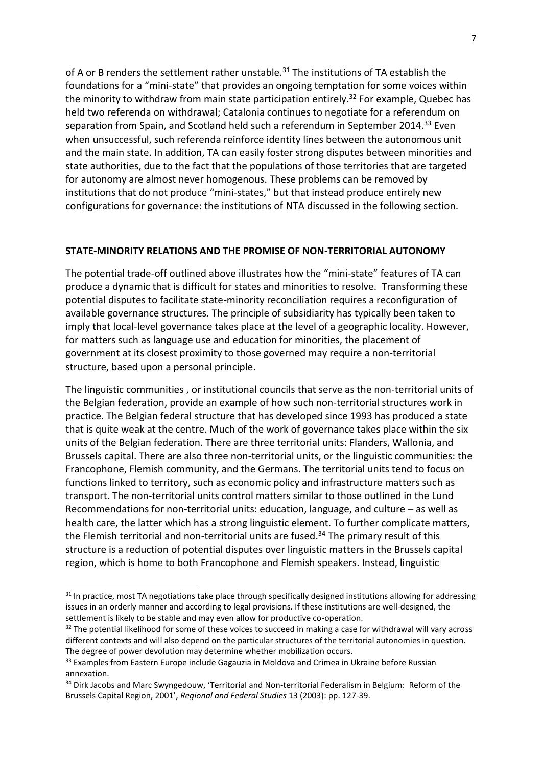of A or B renders the settlement rather unstable.<sup>31</sup> The institutions of TA establish the foundations for a "mini-state" that provides an ongoing temptation for some voices within the minority to withdraw from main state participation entirely.<sup>32</sup> For example, Quebec has held two referenda on withdrawal; Catalonia continues to negotiate for a referendum on separation from Spain, and Scotland held such a referendum in September 2014.<sup>33</sup> Even when unsuccessful, such referenda reinforce identity lines between the autonomous unit and the main state. In addition, TA can easily foster strong disputes between minorities and state authorities, due to the fact that the populations of those territories that are targeted for autonomy are almost never homogenous. These problems can be removed by institutions that do not produce "mini-states," but that instead produce entirely new configurations for governance: the institutions of NTA discussed in the following section.

## **STATE-MINORITY RELATIONS AND THE PROMISE OF NON-TERRITORIAL AUTONOMY**

The potential trade-off outlined above illustrates how the "mini-state" features of TA can produce a dynamic that is difficult for states and minorities to resolve. Transforming these potential disputes to facilitate state-minority reconciliation requires a reconfiguration of available governance structures. The principle of subsidiarity has typically been taken to imply that local-level governance takes place at the level of a geographic locality. However, for matters such as language use and education for minorities, the placement of government at its closest proximity to those governed may require a non-territorial structure, based upon a personal principle.

The linguistic communities , or institutional councils that serve as the non-territorial units of the Belgian federation, provide an example of how such non-territorial structures work in practice. The Belgian federal structure that has developed since 1993 has produced a state that is quite weak at the centre. Much of the work of governance takes place within the six units of the Belgian federation. There are three territorial units: Flanders, Wallonia, and Brussels capital. There are also three non-territorial units, or the linguistic communities: the Francophone, Flemish community, and the Germans. The territorial units tend to focus on functions linked to territory, such as economic policy and infrastructure matters such as transport. The non-territorial units control matters similar to those outlined in the Lund Recommendations for non-territorial units: education, language, and culture – as well as health care, the latter which has a strong linguistic element. To further complicate matters, the Flemish territorial and non-territorial units are fused.<sup>34</sup> The primary result of this structure is a reduction of potential disputes over linguistic matters in the Brussels capital region, which is home to both Francophone and Flemish speakers. Instead, linguistic

<sup>&</sup>lt;sup>31</sup> In practice, most TA negotiations take place through specifically designed institutions allowing for addressing issues in an orderly manner and according to legal provisions. If these institutions are well-designed, the settlement is likely to be stable and may even allow for productive co-operation.

 $32$  The potential likelihood for some of these voices to succeed in making a case for withdrawal will vary across different contexts and will also depend on the particular structures of the territorial autonomies in question. The degree of power devolution may determine whether mobilization occurs.

<sup>&</sup>lt;sup>33</sup> Examples from Eastern Europe include Gagauzia in Moldova and Crimea in Ukraine before Russian annexation.

<sup>&</sup>lt;sup>34</sup> Dirk Jacobs and Marc Swyngedouw, 'Territorial and Non-territorial Federalism in Belgium: Reform of the Brussels Capital Region, 2001', *Regional and Federal Studies* 13 (2003): pp. 127-39.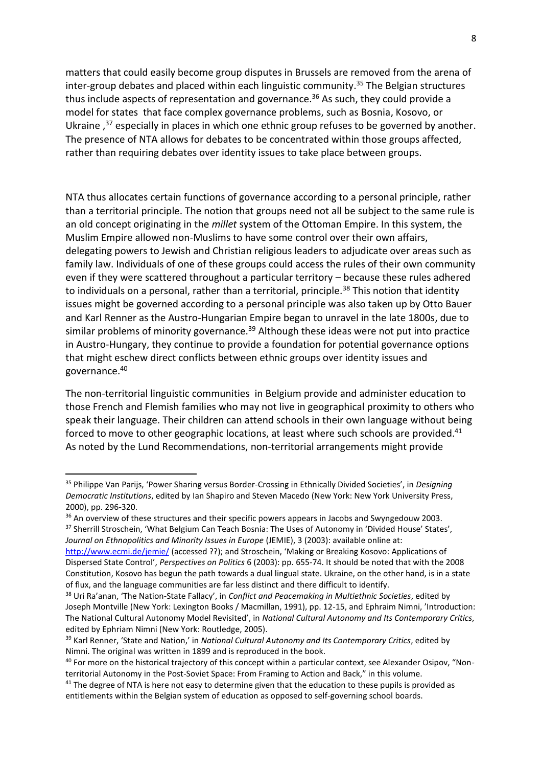matters that could easily become group disputes in Brussels are removed from the arena of inter-group debates and placed within each linguistic community. <sup>35</sup> The Belgian structures thus include aspects of representation and governance. <sup>36</sup> As such, they could provide a model for states that face complex governance problems, such as Bosnia, Kosovo, or Ukraine,<sup>37</sup> especially in places in which one ethnic group refuses to be governed by another. The presence of NTA allows for debates to be concentrated within those groups affected, rather than requiring debates over identity issues to take place between groups.

NTA thus allocates certain functions of governance according to a personal principle, rather than a territorial principle. The notion that groups need not all be subject to the same rule is an old concept originating in the *millet* system of the Ottoman Empire. In this system, the Muslim Empire allowed non-Muslims to have some control over their own affairs, delegating powers to Jewish and Christian religious leaders to adjudicate over areas such as family law. Individuals of one of these groups could access the rules of their own community even if they were scattered throughout a particular territory – because these rules adhered to individuals on a personal, rather than a territorial, principle.<sup>38</sup> This notion that identity issues might be governed according to a personal principle was also taken up by Otto Bauer and Karl Renner as the Austro-Hungarian Empire began to unravel in the late 1800s, due to similar problems of minority governance.<sup>39</sup> Although these ideas were not put into practice in Austro-Hungary, they continue to provide a foundation for potential governance options that might eschew direct conflicts between ethnic groups over identity issues and governance.<sup>40</sup>

The non-territorial linguistic communities in Belgium provide and administer education to those French and Flemish families who may not live in geographical proximity to others who speak their language. Their children can attend schools in their own language without being forced to move to other geographic locations, at least where such schools are provided.<sup>41</sup> As noted by the Lund Recommendations, non-territorial arrangements might provide

<sup>35</sup> Philippe Van Parijs, 'Power Sharing versus Border-Crossing in Ethnically Divided Societies', in *Designing Democratic Institutions*, edited by Ian Shapiro and Steven Macedo (New York: New York University Press, 2000), pp. 296-320.

<sup>&</sup>lt;sup>36</sup> An overview of these structures and their specific powers appears in Jacobs and Swyngedouw 2003. <sup>37</sup> Sherrill Stroschein, 'What Belgium Can Teach Bosnia: The Uses of Autonomy in 'Divided House' States', *Journal on Ethnopolitics and Minority Issues in Europe* (JEMIE), 3 (2003): available online at:

<http://www.ecmi.de/jemie/> (accessed ??); and Stroschein, 'Making or Breaking Kosovo: Applications of Dispersed State Control', *Perspectives on Politics* 6 (2003): pp. 655-74. It should be noted that with the 2008 Constitution, Kosovo has begun the path towards a dual lingual state. Ukraine, on the other hand, is in a state of flux, and the language communities are far less distinct and there difficult to identify.

<sup>38</sup> Uri Ra'anan, 'The Nation-State Fallacy', in *Conflict and Peacemaking in Multiethnic Societies*, edited by Joseph Montville (New York: Lexington Books / Macmillan, 1991), pp. 12-15, and Ephraim Nimni, 'Introduction: The National Cultural Autonomy Model Revisited', in *National Cultural Autonomy and Its Contemporary Critics*, edited by Ephriam Nimni (New York: Routledge, 2005).

<sup>39</sup> Karl Renner, 'State and Nation,' in *National Cultural Autonomy and Its Contemporary Critics*, edited by Nimni. The original was written in 1899 and is reproduced in the book.

<sup>&</sup>lt;sup>40</sup> For more on the historical trajectory of this concept within a particular context, see Alexander Osipov, "Nonterritorial Autonomy in the Post-Soviet Space: From Framing to Action and Back," in this volume.

<sup>&</sup>lt;sup>41</sup> The degree of NTA is here not easy to determine given that the education to these pupils is provided as entitlements within the Belgian system of education as opposed to self-governing school boards.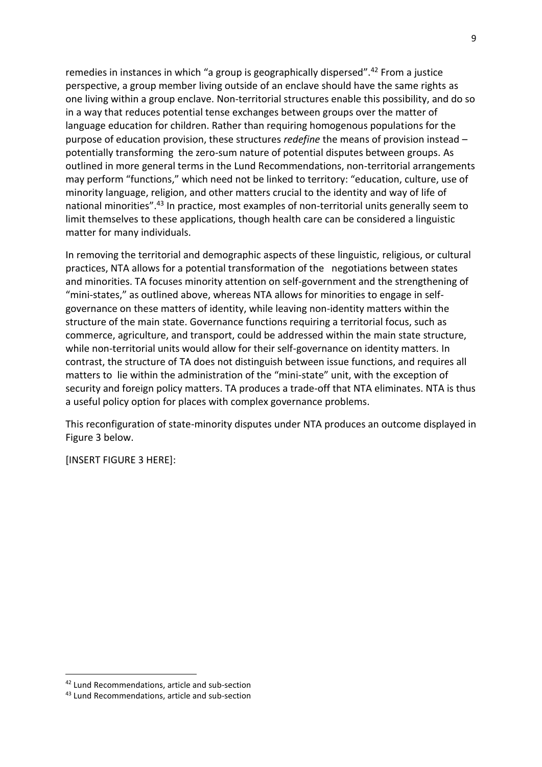remedies in instances in which "a group is geographically dispersed".<sup>42</sup> From a justice perspective, a group member living outside of an enclave should have the same rights as one living within a group enclave. Non-territorial structures enable this possibility, and do so in a way that reduces potential tense exchanges between groups over the matter of language education for children. Rather than requiring homogenous populations for the purpose of education provision, these structures *redefine* the means of provision instead – potentially transforming the zero-sum nature of potential disputes between groups. As outlined in more general terms in the Lund Recommendations, non-territorial arrangements may perform "functions," which need not be linked to territory: "education, culture, use of minority language, religion, and other matters crucial to the identity and way of life of national minorities".<sup>43</sup> In practice, most examples of non-territorial units generally seem to limit themselves to these applications, though health care can be considered a linguistic matter for many individuals.

In removing the territorial and demographic aspects of these linguistic, religious, or cultural practices, NTA allows for a potential transformation of the negotiations between states and minorities. TA focuses minority attention on self-government and the strengthening of "mini-states," as outlined above, whereas NTA allows for minorities to engage in selfgovernance on these matters of identity, while leaving non-identity matters within the structure of the main state. Governance functions requiring a territorial focus, such as commerce, agriculture, and transport, could be addressed within the main state structure, while non-territorial units would allow for their self-governance on identity matters. In contrast, the structure of TA does not distinguish between issue functions, and requires all matters to lie within the administration of the "mini-state" unit, with the exception of security and foreign policy matters. TA produces a trade-off that NTA eliminates. NTA is thus a useful policy option for places with complex governance problems.

This reconfiguration of state-minority disputes under NTA produces an outcome displayed in Figure 3 below.

[INSERT FIGURE 3 HERE]:

<sup>42</sup> Lund Recommendations, article and sub-section

<sup>43</sup> Lund Recommendations, article and sub-section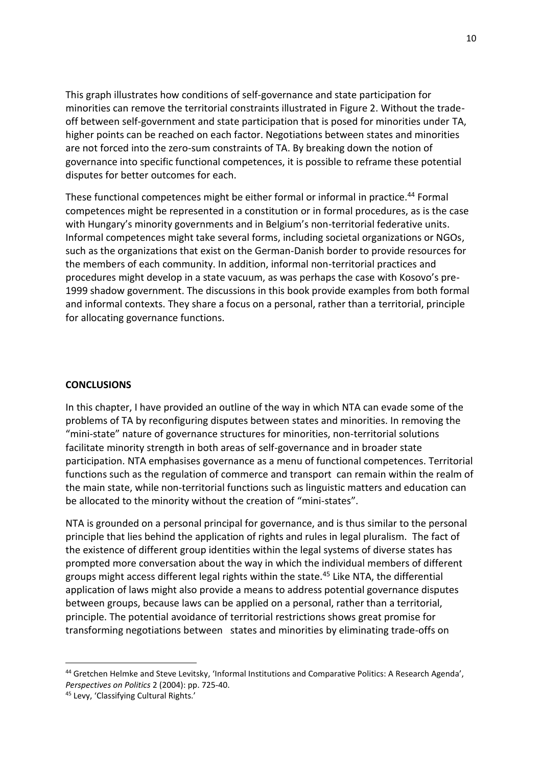This graph illustrates how conditions of self-governance and state participation for minorities can remove the territorial constraints illustrated in Figure 2. Without the tradeoff between self-government and state participation that is posed for minorities under TA, higher points can be reached on each factor. Negotiations between states and minorities are not forced into the zero-sum constraints of TA. By breaking down the notion of governance into specific functional competences, it is possible to reframe these potential disputes for better outcomes for each.

These functional competences might be either formal or informal in practice. <sup>44</sup> Formal competences might be represented in a constitution or in formal procedures, as is the case with Hungary's minority governments and in Belgium's non-territorial federative units. Informal competences might take several forms, including societal organizations or NGOs, such as the organizations that exist on the German-Danish border to provide resources for the members of each community. In addition, informal non-territorial practices and procedures might develop in a state vacuum, as was perhaps the case with Kosovo's pre-1999 shadow government. The discussions in this book provide examples from both formal and informal contexts. They share a focus on a personal, rather than a territorial, principle for allocating governance functions.

# **CONCLUSIONS**

In this chapter, I have provided an outline of the way in which NTA can evade some of the problems of TA by reconfiguring disputes between states and minorities. In removing the "mini-state" nature of governance structures for minorities, non-territorial solutions facilitate minority strength in both areas of self-governance and in broader state participation. NTA emphasises governance as a menu of functional competences. Territorial functions such as the regulation of commerce and transport can remain within the realm of the main state, while non-territorial functions such as linguistic matters and education can be allocated to the minority without the creation of "mini-states".

NTA is grounded on a personal principal for governance, and is thus similar to the personal principle that lies behind the application of rights and rules in legal pluralism. The fact of the existence of different group identities within the legal systems of diverse states has prompted more conversation about the way in which the individual members of different groups might access different legal rights within the state.<sup>45</sup> Like NTA, the differential application of laws might also provide a means to address potential governance disputes between groups, because laws can be applied on a personal, rather than a territorial, principle. The potential avoidance of territorial restrictions shows great promise for transforming negotiations between states and minorities by eliminating trade-offs on

<sup>&</sup>lt;sup>44</sup> Gretchen Helmke and Steve Levitsky, 'Informal Institutions and Comparative Politics: A Research Agenda', *Perspectives on Politics* 2 (2004): pp. 725-40.

<sup>45</sup> Levy, 'Classifying Cultural Rights.'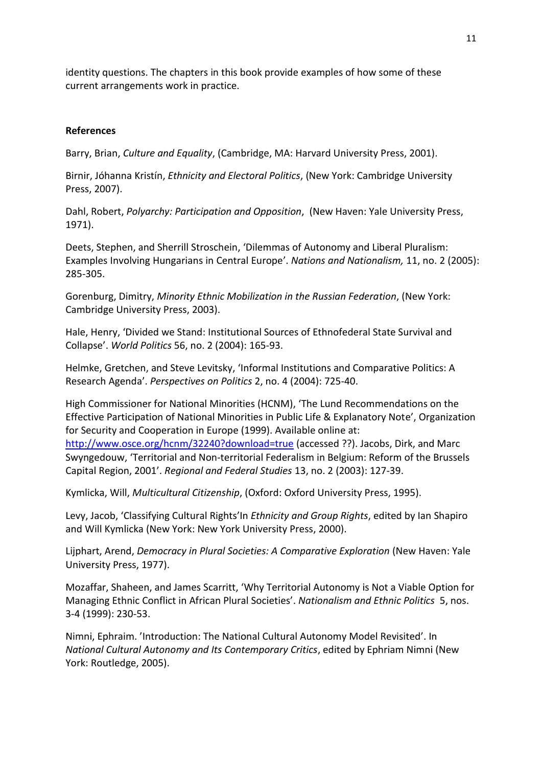identity questions. The chapters in this book provide examples of how some of these current arrangements work in practice.

# **References**

Barry, Brian, *Culture and Equality*, (Cambridge, MA: Harvard University Press, 2001).

Birnir, Jóhanna Kristín, *Ethnicity and Electoral Politics*, (New York: Cambridge University Press, 2007).

Dahl, Robert, *Polyarchy: Participation and Opposition*, (New Haven: Yale University Press, 1971).

Deets, Stephen, and Sherrill Stroschein, 'Dilemmas of Autonomy and Liberal Pluralism: Examples Involving Hungarians in Central Europe'. *Nations and Nationalism,* 11, no. 2 (2005): 285-305.

Gorenburg, Dimitry, *Minority Ethnic Mobilization in the Russian Federation*, (New York: Cambridge University Press, 2003).

Hale, Henry, 'Divided we Stand: Institutional Sources of Ethnofederal State Survival and Collapse'. *World Politics* 56, no. 2 (2004): 165-93.

Helmke, Gretchen, and Steve Levitsky, 'Informal Institutions and Comparative Politics: A Research Agenda'. *Perspectives on Politics* 2, no. 4 (2004): 725-40.

High Commissioner for National Minorities (HCNM), 'The Lund Recommendations on the Effective Participation of National Minorities in Public Life & Explanatory Note', Organization for Security and Cooperation in Europe (1999). Available online at:

<http://www.osce.org/hcnm/32240?download=true> (accessed ??). Jacobs, Dirk, and Marc Swyngedouw, 'Territorial and Non-territorial Federalism in Belgium: Reform of the Brussels Capital Region, 2001'. *Regional and Federal Studies* 13, no. 2 (2003): 127-39.

Kymlicka, Will, *Multicultural Citizenship*, (Oxford: Oxford University Press, 1995).

Levy, Jacob, 'Classifying Cultural Rights'In *Ethnicity and Group Rights*, edited by Ian Shapiro and Will Kymlicka (New York: New York University Press, 2000).

Lijphart, Arend, *Democracy in Plural Societies: A Comparative Exploration* (New Haven: Yale University Press, 1977).

Mozaffar, Shaheen, and James Scarritt, 'Why Territorial Autonomy is Not a Viable Option for Managing Ethnic Conflict in African Plural Societies'. *Nationalism and Ethnic Politics* 5, nos. 3-4 (1999): 230-53.

Nimni, Ephraim. 'Introduction: The National Cultural Autonomy Model Revisited'. In *National Cultural Autonomy and Its Contemporary Critics*, edited by Ephriam Nimni (New York: Routledge, 2005).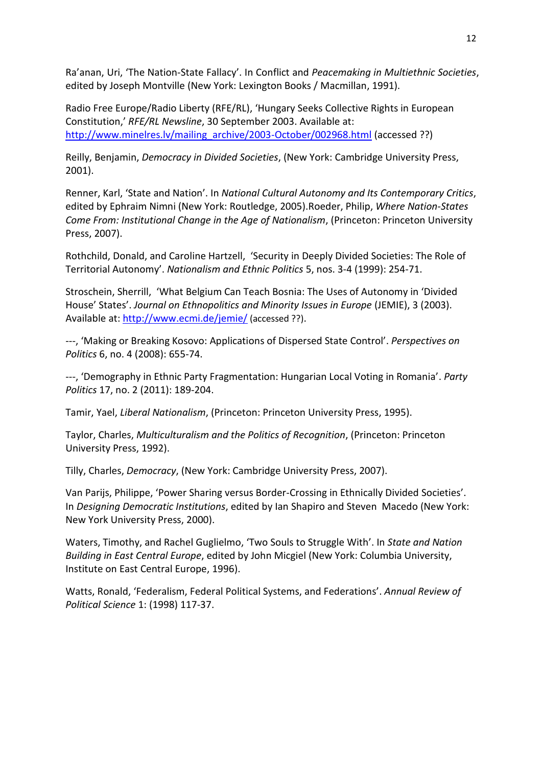Ra'anan, Uri, 'The Nation-State Fallacy'. In Conflict and *Peacemaking in Multiethnic Societies*, edited by Joseph Montville (New York: Lexington Books / Macmillan, 1991).

Radio Free Europe/Radio Liberty (RFE/RL), 'Hungary Seeks Collective Rights in European Constitution,' *RFE/RL Newsline*, 30 September 2003. Available at: [http://www.minelres.lv/mailing\\_archive/2003-October/002968.html](http://www.minelres.lv/mailing_archive/2003-October/002968.html) (accessed ??)

Reilly, Benjamin, *Democracy in Divided Societies*, (New York: Cambridge University Press, 2001).

Renner, Karl, 'State and Nation'. In *National Cultural Autonomy and Its Contemporary Critics*, edited by Ephraim Nimni (New York: Routledge, 2005).Roeder, Philip, *Where Nation-States Come From: Institutional Change in the Age of Nationalism*, (Princeton: Princeton University Press, 2007).

Rothchild, Donald, and Caroline Hartzell, 'Security in Deeply Divided Societies: The Role of Territorial Autonomy'. *Nationalism and Ethnic Politics* 5, nos. 3-4 (1999): 254-71.

Stroschein, Sherrill, 'What Belgium Can Teach Bosnia: The Uses of Autonomy in 'Divided House' States'. *Journal on Ethnopolitics and Minority Issues in Europe* (JEMIE), 3 (2003). Available at:<http://www.ecmi.de/jemie/> (accessed ??).

---, 'Making or Breaking Kosovo: Applications of Dispersed State Control'. *Perspectives on Politics* 6, no. 4 (2008): 655-74.

---, 'Demography in Ethnic Party Fragmentation: Hungarian Local Voting in Romania'. *Party Politics* 17, no. 2 (2011): 189-204.

Tamir, Yael, *Liberal Nationalism*, (Princeton: Princeton University Press, 1995).

Taylor, Charles, *Multiculturalism and the Politics of Recognition*, (Princeton: Princeton University Press, 1992).

Tilly, Charles, *Democracy*, (New York: Cambridge University Press, 2007).

Van Parijs, Philippe, 'Power Sharing versus Border-Crossing in Ethnically Divided Societies'. In *Designing Democratic Institutions*, edited by Ian Shapiro and Steven Macedo (New York: New York University Press, 2000).

Waters, Timothy, and Rachel Guglielmo, 'Two Souls to Struggle With'. In *State and Nation Building in East Central Europe*, edited by John Micgiel (New York: Columbia University, Institute on East Central Europe, 1996).

Watts, Ronald, 'Federalism, Federal Political Systems, and Federations'. *Annual Review of Political Science* 1: (1998) 117-37.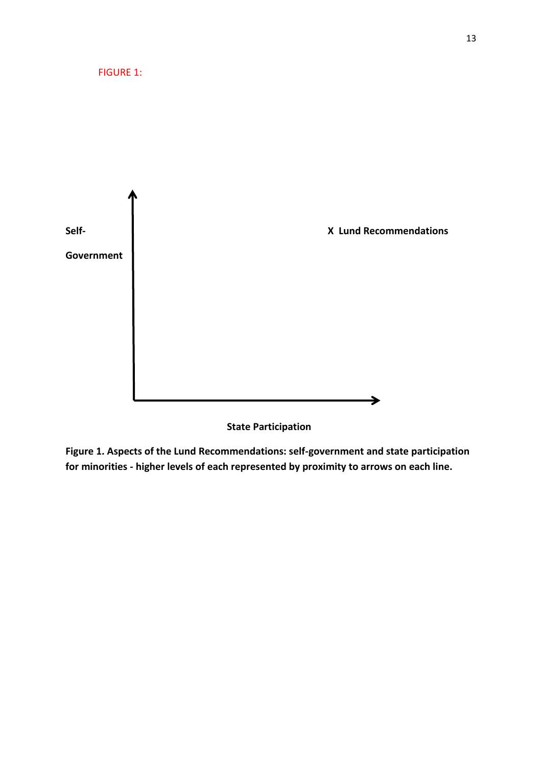

**State Participation**

**Figure 1. Aspects of the Lund Recommendations: self-government and state participation for minorities - higher levels of each represented by proximity to arrows on each line.**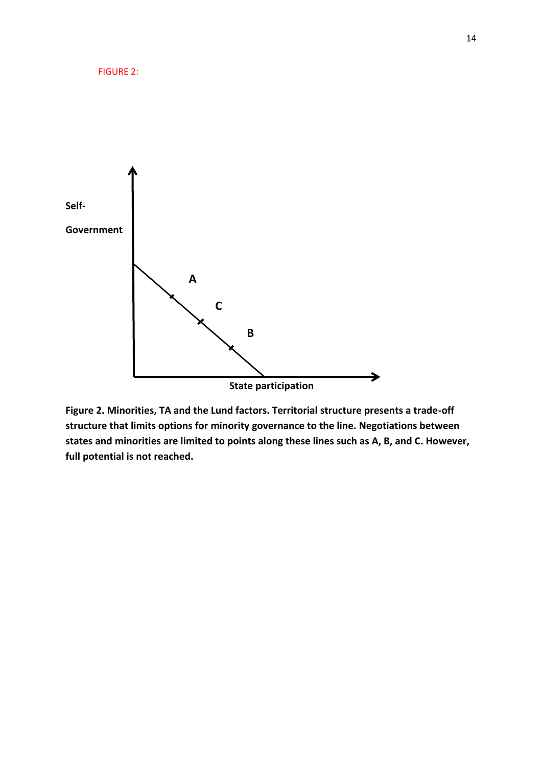FIGURE 2:



**Figure 2. Minorities, TA and the Lund factors. Territorial structure presents a trade-off structure that limits options for minority governance to the line. Negotiations between states and minorities are limited to points along these lines such as A, B, and C. However, full potential is not reached.**